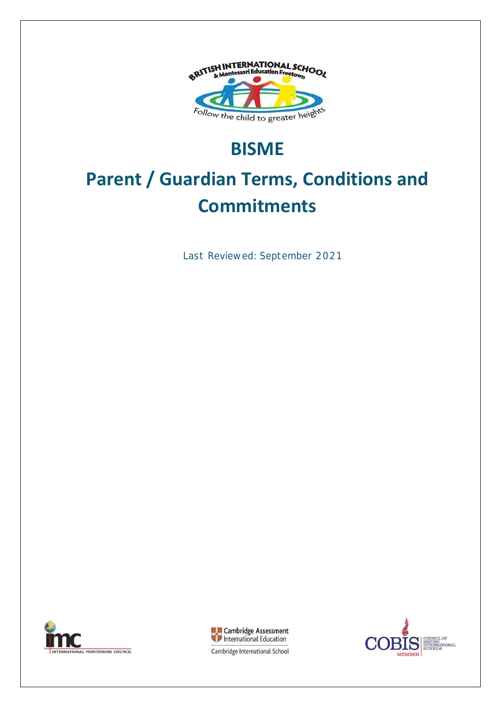

## **BISME**

# **Parent / Guardian Terms, Conditions and Commitments**

Last Reviewed: September 2021





CIL OF ITISH<br>TERNATIONAL<br>HOOLS **MEMBER** 

Cambridge International School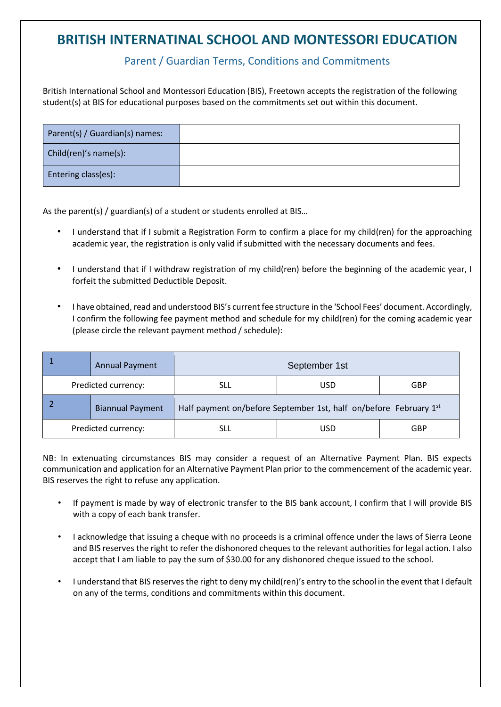### **BRITISH INTERNATINAL SCHOOL AND MONTESSORI EDUCATION**

### Parent / Guardian Terms, Conditions and Commitments

British International School and Montessori Education (BIS), Freetown accepts the registration of the following student(s) at BIS for educational purposes based on the commitments set out within this document.

| Parent(s) / Guardian(s) names: |  |
|--------------------------------|--|
| Child(ren)'s name(s):          |  |
| <b>Entering class(es):</b>     |  |

As the parent(s) / guardian(s) of a student or students enrolled at BIS…

- I understand that if I submit a Registration Form to confirm a place for my child(ren) for the approaching academic year, the registration is only valid if submitted with the necessary documents and fees.
- I understand that if I withdraw registration of my child(ren) before the beginning of the academic year, I forfeit the submitted Deductible Deposit.
- I have obtained, read and understood BIS's current fee structure in the 'School Fees' document. Accordingly, I confirm the following fee payment method and schedule for my child(ren) for the coming academic year (please circle the relevant payment method / schedule):

|                     | <b>Annual Payment</b>   |                                                                   | September 1st |            |
|---------------------|-------------------------|-------------------------------------------------------------------|---------------|------------|
| Predicted currency: |                         | SLL                                                               | USD           | <b>GBP</b> |
|                     | <b>Biannual Payment</b> | Half payment on/before September 1st, half on/before February 1st |               |            |
| Predicted currency: |                         | SLL                                                               | USD           | <b>GBP</b> |

NB: In extenuating circumstances BIS may consider a request of an Alternative Payment Plan. BIS expects communication and application for an Alternative Payment Plan prior to the commencement of the academic year. BIS reserves the right to refuse any application.

- If payment is made by way of electronic transfer to the BIS bank account, I confirm that I will provide BIS with a copy of each bank transfer.
- I acknowledge that issuing a cheque with no proceeds is a criminal offence under the laws of Sierra Leone and BIS reserves the right to refer the dishonored cheques to the relevant authorities for legal action. I also accept that I am liable to pay the sum of \$30.00 for any dishonored cheque issued to the school.
- I understand that BIS reserves the right to deny my child(ren)'s entry to the school in the event that I default on any of the terms, conditions and commitments within this document.